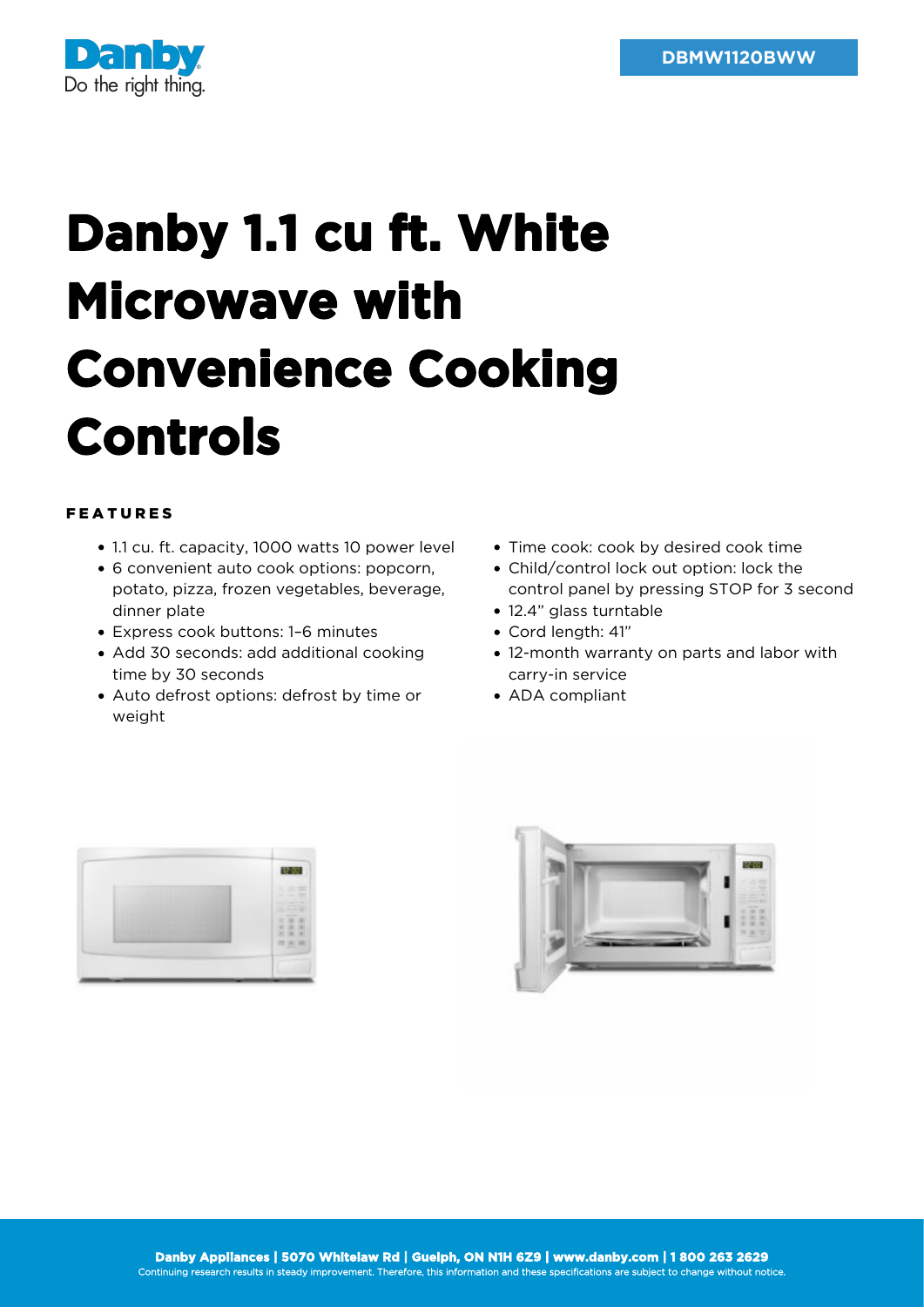

## **Danby 1.1 cu ft. White Microwave with Convenience Cooking Controls**

## FEATURES

- 1.1 cu. ft. capacity, 1000 watts 10 power level
- 6 convenient auto cook options: popcorn, potato, pizza, frozen vegetables, beverage, dinner plate
- Express cook buttons: 1–6 minutes
- Add 30 seconds: add additional cooking time by 30 seconds
- Auto defrost options: defrost by time or weight
- Time cook: cook by desired cook time
- Child/control lock out option: lock the control panel by pressing STOP for 3 second
- 12.4" glass turntable
- Cord length: 41"
- 12-month warranty on parts and labor with carry-in service
- ADA compliant